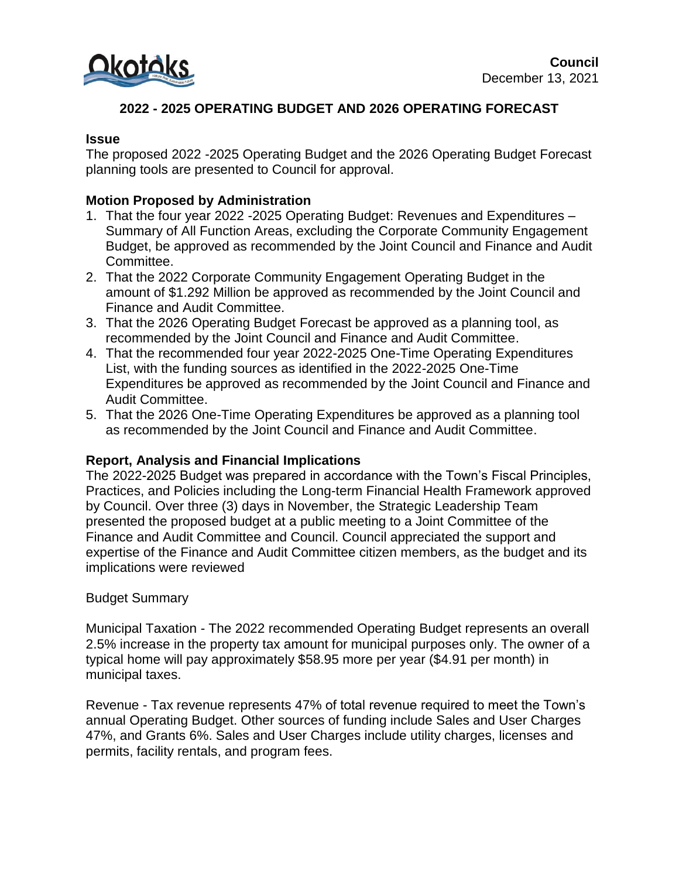

# **2022 - 2025 OPERATING BUDGET AND 2026 OPERATING FORECAST**

#### **Issue**

The proposed 2022 -2025 Operating Budget and the 2026 Operating Budget Forecast planning tools are presented to Council for approval.

## **Motion Proposed by Administration**

- 1. That the four year 2022 -2025 Operating Budget: Revenues and Expenditures Summary of All Function Areas, excluding the Corporate Community Engagement Budget, be approved as recommended by the Joint Council and Finance and Audit Committee.
- 2. That the 2022 Corporate Community Engagement Operating Budget in the amount of \$1.292 Million be approved as recommended by the Joint Council and Finance and Audit Committee.
- 3. That the 2026 Operating Budget Forecast be approved as a planning tool, as recommended by the Joint Council and Finance and Audit Committee.
- 4. That the recommended four year 2022-2025 One-Time Operating Expenditures List, with the funding sources as identified in the 2022-2025 One-Time Expenditures be approved as recommended by the Joint Council and Finance and Audit Committee.
- 5. That the 2026 One-Time Operating Expenditures be approved as a planning tool as recommended by the Joint Council and Finance and Audit Committee.

### **Report, Analysis and Financial Implications**

The 2022-2025 Budget was prepared in accordance with the Town's Fiscal Principles, Practices, and Policies including the Long-term Financial Health Framework approved by Council. Over three (3) days in November, the Strategic Leadership Team presented the proposed budget at a public meeting to a Joint Committee of the Finance and Audit Committee and Council. Council appreciated the support and expertise of the Finance and Audit Committee citizen members, as the budget and its implications were reviewed

### Budget Summary

Municipal Taxation - The 2022 recommended Operating Budget represents an overall 2.5% increase in the property tax amount for municipal purposes only. The owner of a typical home will pay approximately \$58.95 more per year (\$4.91 per month) in municipal taxes.

Revenue - Tax revenue represents 47% of total revenue required to meet the Town's annual Operating Budget. Other sources of funding include Sales and User Charges 47%, and Grants 6%. Sales and User Charges include utility charges, licenses and permits, facility rentals, and program fees.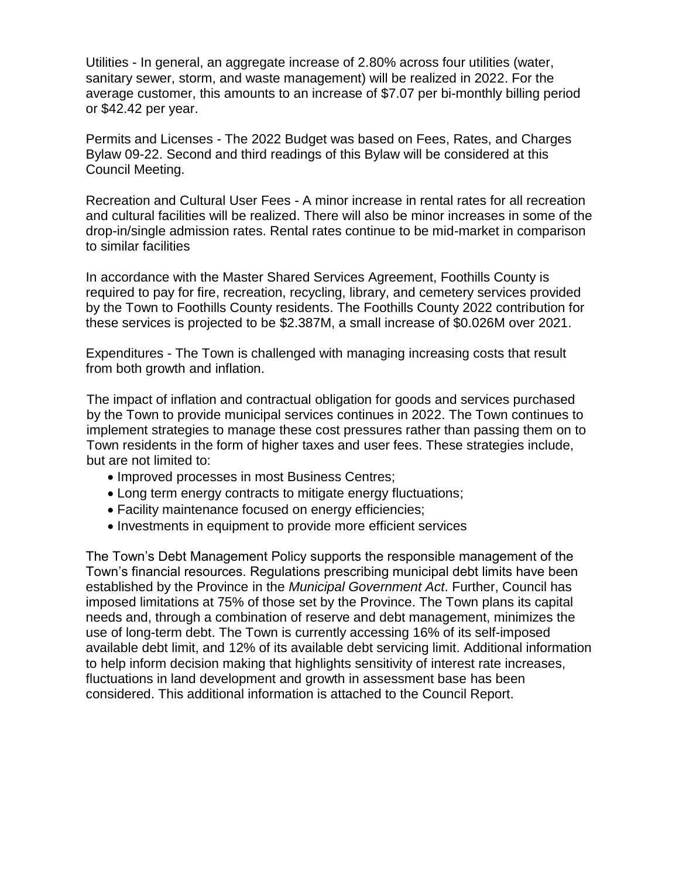Utilities - In general, an aggregate increase of 2.80% across four utilities (water, sanitary sewer, storm, and waste management) will be realized in 2022. For the average customer, this amounts to an increase of \$7.07 per bi-monthly billing period or \$42.42 per year.

Permits and Licenses - The 2022 Budget was based on Fees, Rates, and Charges Bylaw 09-22. Second and third readings of this Bylaw will be considered at this Council Meeting.

Recreation and Cultural User Fees - A minor increase in rental rates for all recreation and cultural facilities will be realized. There will also be minor increases in some of the drop-in/single admission rates. Rental rates continue to be mid-market in comparison to similar facilities

In accordance with the Master Shared Services Agreement, Foothills County is required to pay for fire, recreation, recycling, library, and cemetery services provided by the Town to Foothills County residents. The Foothills County 2022 contribution for these services is projected to be \$2.387M, a small increase of \$0.026M over 2021.

Expenditures - The Town is challenged with managing increasing costs that result from both growth and inflation.

The impact of inflation and contractual obligation for goods and services purchased by the Town to provide municipal services continues in 2022. The Town continues to implement strategies to manage these cost pressures rather than passing them on to Town residents in the form of higher taxes and user fees. These strategies include, but are not limited to:

- Improved processes in most Business Centres;
- Long term energy contracts to mitigate energy fluctuations;
- Facility maintenance focused on energy efficiencies;
- Investments in equipment to provide more efficient services

The Town's Debt Management Policy supports the responsible management of the Town's financial resources. Regulations prescribing municipal debt limits have been established by the Province in the *Municipal Government Act*. Further, Council has imposed limitations at 75% of those set by the Province. The Town plans its capital needs and, through a combination of reserve and debt management, minimizes the use of long-term debt. The Town is currently accessing 16% of its self-imposed available debt limit, and 12% of its available debt servicing limit. Additional information to help inform decision making that highlights sensitivity of interest rate increases, fluctuations in land development and growth in assessment base has been considered. This additional information is attached to the Council Report.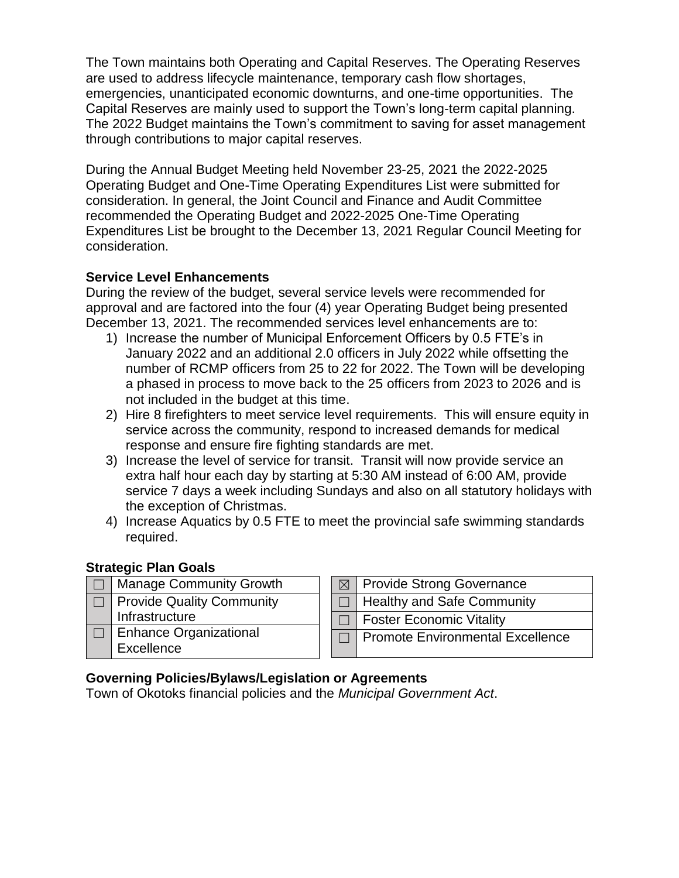The Town maintains both Operating and Capital Reserves. The Operating Reserves are used to address lifecycle maintenance, temporary cash flow shortages, emergencies, unanticipated economic downturns, and one-time opportunities. The Capital Reserves are mainly used to support the Town's long-term capital planning. The 2022 Budget maintains the Town's commitment to saving for asset management through contributions to major capital reserves.

During the Annual Budget Meeting held November 23-25, 2021 the 2022-2025 Operating Budget and One-Time Operating Expenditures List were submitted for consideration. In general, the Joint Council and Finance and Audit Committee recommended the Operating Budget and 2022-2025 One-Time Operating Expenditures List be brought to the December 13, 2021 Regular Council Meeting for consideration.

## **Service Level Enhancements**

During the review of the budget, several service levels were recommended for approval and are factored into the four (4) year Operating Budget being presented December 13, 2021. The recommended services level enhancements are to:

- 1) Increase the number of Municipal Enforcement Officers by 0.5 FTE's in January 2022 and an additional 2.0 officers in July 2022 while offsetting the number of RCMP officers from 25 to 22 for 2022. The Town will be developing a phased in process to move back to the 25 officers from 2023 to 2026 and is not included in the budget at this time.
- 2) Hire 8 firefighters to meet service level requirements. This will ensure equity in service across the community, respond to increased demands for medical response and ensure fire fighting standards are met.
- 3) Increase the level of service for transit. Transit will now provide service an extra half hour each day by starting at 5:30 AM instead of 6:00 AM, provide service 7 days a week including Sundays and also on all statutory holidays with the exception of Christmas.
- 4) Increase Aquatics by 0.5 FTE to meet the provincial safe swimming standards required.

### **Strategic Plan Goals**

□ | Manage Community Growth ☐ Provide Quality Community Infrastructure □ Enhance Organizational **Excellence** 

|        | <b>Provide Strong Governance</b>  |
|--------|-----------------------------------|
| $\Box$ | <b>Healthy and Safe Community</b> |
|        | <b>Foster Economic Vitality</b>   |
|        | Promote Environmental Excellence  |

## **Governing Policies/Bylaws/Legislation or Agreements**

Town of Okotoks financial policies and the *Municipal Government Act*.